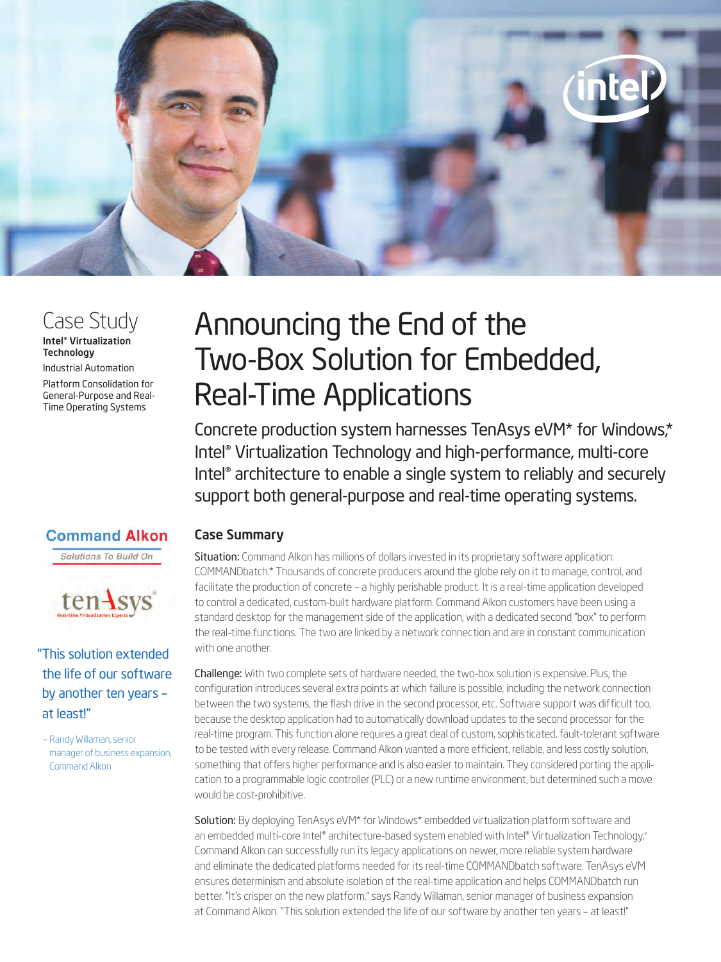

# Case Study

#### Intel® Virtualization **Technology**

Industrial Automation

Platform Consolidation for General-Purpose and Real-Time Operating Systems

# **Command Alkon**

Solutions To Build On



"This solution extended the life of our software by another ten years – at least!"

– Randy Willaman, senior manager of business expansion, Command Alkon

# Announcing the End of the Two-Box Solution for Embedded, Real-Time Applications

Concrete production system harnesses TenAsys eVM\* for Windows,\* Intel® Virtualization Technology and high-performance, multi-core Intel® architecture to enable a single system to reliably and securely support both general-purpose and real-time operating systems.

## Case Summary

Situation: Command Alkon has millions of dollars invested in its proprietary software application: COMMANDbatch.\* Thousands of concrete producers around the globe rely on it to manage, control, and facilitate the production of concrete – a highly perishable product. It is a real-time application developed to control a dedicated, custom-built hardware platform. Command Alkon customers have been using a standard desktop for the management side of the application, with a dedicated second "box" to perform the real-time functions. The two are linked by a network connection and are in constant communication with one another.

Challenge: With two complete sets of hardware needed, the two-box solution is expensive. Plus, the configuration introduces several extra points at which failure is possible, including the network connection between the two systems, the flash drive in the second processor, etc. Software support was difficult too, because the desktop application had to automatically download updates to the second processor for the real-time program. This function alone requires a great deal of custom, sophisticated, fault-tolerant software to be tested with every release. Command Alkon wanted a more efficient, reliable, and less costly solution, something that offers higher performance and is also easier to maintain. They considered porting the application to a programmable logic controller (PLC) or a new runtime environment, but determined such a move would be cost-prohibitive.

Solution: By deploying TenAsys eVM\* for Windows\* embedded virtualization platform software and an embedded multi-core Intel® architecture-based system enabled with Intel® Virtualization Technology,<sup>®</sup> Command Alkon can successfully run its legacy applications on newer, more reliable system hardware and eliminate the dedicated platforms needed for its real-time COMMANDbatch software. TenAsys eVM ensures determinism and absolute isolation of the real-time application and helps COMMANDbatch run better. "It's crisper on the new platform," says Randy Willaman, senior manager of business expansion at Command Alkon. "This solution extended the life of our software by another ten years – at least!"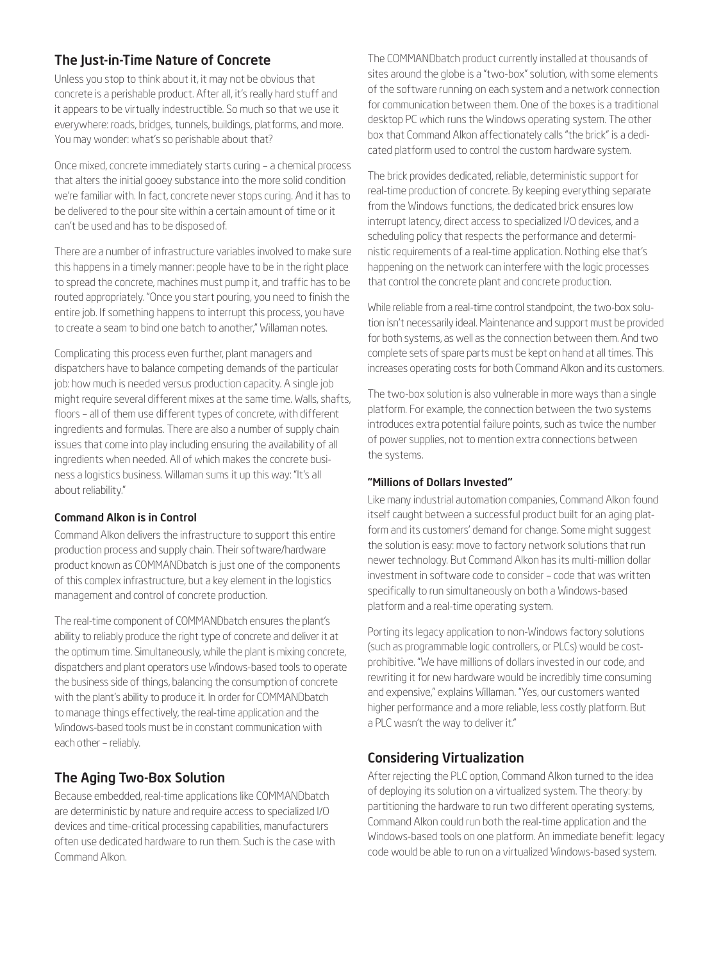## The Just-in-Time Nature of Concrete

Unless you stop to think about it, it may not be obvious that concrete is a perishable product. After all, it's really hard stuff and it appears to be virtually indestructible. So much so that we use it everywhere: roads, bridges, tunnels, buildings, platforms, and more. You may wonder: what's so perishable about that?

Once mixed, concrete immediately starts curing – a chemical process that alters the initial gooey substance into the more solid condition we're familiar with. In fact, concrete never stops curing. And it has to be delivered to the pour site within a certain amount of time or it can't be used and has to be disposed of.

There are a number of infrastructure variables involved to make sure this happens in a timely manner: people have to be in the right place to spread the concrete, machines must pump it, and traffic has to be routed appropriately. "Once you start pouring, you need to finish the entire job. If something happens to interrupt this process, you have to create a seam to bind one batch to another," Willaman notes.

Complicating this process even further, plant managers and dispatchers have to balance competing demands of the particular job: how much is needed versus production capacity. A single job might require several different mixes at the same time. Walls, shafts, floors – all of them use different types of concrete, with different ingredients and formulas. There are also a number of supply chain issues that come into play including ensuring the availability of all ingredients when needed. All of which makes the concrete business a logistics business. Willaman sums it up this way: "It's all about reliability."

#### Command Alkon is in Control

Command Alkon delivers the infrastructure to support this entire production process and supply chain. Their software/hardware product known as COMMANDbatch is just one of the components of this complex infrastructure, but a key element in the logistics management and control of concrete production.

The real-time component of COMMANDbatch ensures the plant's ability to reliably produce the right type of concrete and deliver it at the optimum time. Simultaneously, while the plant is mixing concrete, dispatchers and plant operators use Windows-based tools to operate the business side of things, balancing the consumption of concrete with the plant's ability to produce it. In order for COMMANDbatch to manage things effectively, the real-time application and the Windows-based tools must be in constant communication with each other – reliably.

## The Aging Two-Box Solution

Because embedded, real-time applications like COMMANDbatch are deterministic by nature and require access to specialized I/O devices and time-critical processing capabilities, manufacturers often use dedicated hardware to run them. Such is the case with Command Alkon.

The COMMANDbatch product currently installed at thousands of sites around the globe is a "two-box" solution, with some elements of the software running on each system and a network connection for communication between them. One of the boxes is a traditional desktop PC which runs the Windows operating system. The other box that Command Alkon affectionately calls "the brick" is a dedicated platform used to control the custom hardware system.

The brick provides dedicated, reliable, deterministic support for real-time production of concrete. By keeping everything separate from the Windows functions, the dedicated brick ensures low interrupt latency, direct access to specialized I/O devices, and a scheduling policy that respects the performance and deterministic requirements of a real-time application. Nothing else that's happening on the network can interfere with the logic processes that control the concrete plant and concrete production.

While reliable from a real-time control standpoint, the two-box solution isn't necessarily ideal. Maintenance and support must be provided for both systems, as well as the connection between them. And two complete sets of spare parts must be kept on hand at all times. This increases operating costs for both Command Alkon and its customers.

The two-box solution is also vulnerable in more ways than a single platform. For example, the connection between the two systems introduces extra potential failure points, such as twice the number of power supplies, not to mention extra connections between the systems.

#### "Millions of Dollars Invested"

Like many industrial automation companies, Command Alkon found itself caught between a successful product built for an aging platform and its customers' demand for change. Some might suggest the solution is easy: move to factory network solutions that run newer technology. But Command Alkon has its multi-million dollar investment in software code to consider – code that was written specifically to run simultaneously on both a Windows-based platform and a real-time operating system.

Porting its legacy application to non-Windows factory solutions (such as programmable logic controllers, or PLCs) would be costprohibitive. "We have millions of dollars invested in our code, and rewriting it for new hardware would be incredibly time consuming and expensive," explains Willaman. "Yes, our customers wanted higher performance and a more reliable, less costly platform. But a PLC wasn't the way to deliver it."

## Considering Virtualization

After rejecting the PLC option, Command Alkon turned to the idea of deploying its solution on a virtualized system. The theory: by partitioning the hardware to run two different operating systems, Command Alkon could run both the real-time application and the Windows-based tools on one platform. An immediate benefit: legacy code would be able to run on a virtualized Windows-based system.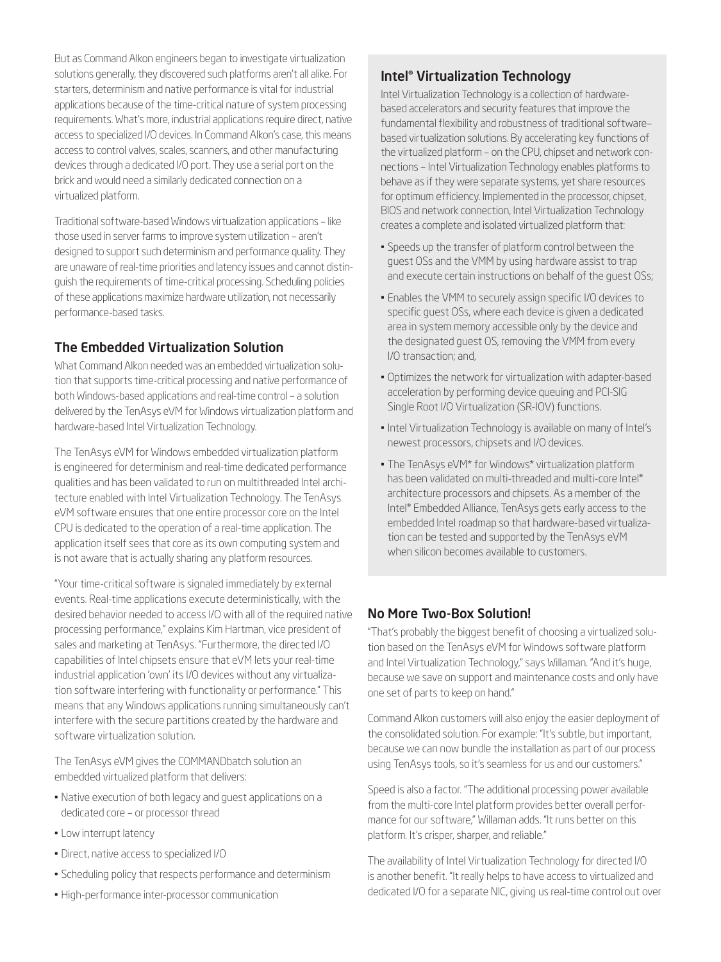But as Command Alkon engineers began to investigate virtualization solutions generally, they discovered such platforms aren't all alike. For starters, determinism and native performance is vital for industrial applications because of the time-critical nature of system processing requirements. What's more, industrial applications require direct, native access to specialized I/O devices. In Command Alkon's case, this means access to control valves, scales, scanners, and other manufacturing devices through a dedicated I/O port. They use a serial port on the brick and would need a similarly dedicated connection on a virtualized platform.

Traditional software-based Windows virtualization applications – like those used in server farms to improve system utilization – aren't designed to support such determinism and performance quality. They are unaware of real-time priorities and latency issues and cannot distinguish the requirements of time-critical processing. Scheduling policies of these applications maximize hardware utilization, not necessarily performance-based tasks.

## The Embedded Virtualization Solution

What Command Alkon needed was an embedded virtualization solution that supports time-critical processing and native performance of both Windows-based applications and real-time control – a solution delivered by the TenAsys eVM for Windows virtualization platform and hardware-based Intel Virtualization Technology.

The TenAsys eVM for Windows embedded virtualization platform is engineered for determinism and real-time dedicated performance qualities and has been validated to run on multithreaded Intel architecture enabled with Intel Virtualization Technology. The TenAsys eVM software ensures that one entire processor core on the Intel CPU is dedicated to the operation of a real-time application. The application itself sees that core as its own computing system and is not aware that is actually sharing any platform resources.

"Your time-critical software is signaled immediately by external events. Real-time applications execute deterministically, with the desired behavior needed to access I/O with all of the required native processing performance," explains Kim Hartman, vice president of sales and marketing at TenAsys. "Furthermore, the directed I/O capabilities of Intel chipsets ensure that eVM lets your real-time industrial application 'own' its I/O devices without any virtualization software interfering with functionality or performance." This means that any Windows applications running simultaneously can't interfere with the secure partitions created by the hardware and software virtualization solution.

The TenAsys eVM gives the COMMANDbatch solution an embedded virtualized platform that delivers:

- Native execution of both legacy and guest applications on a dedicated core – or processor thread
- Low interrupt latency
- Direct, native access to specialized I/O
- Scheduling policy that respects performance and determinism
- High-performance inter-processor communication

#### Intel® Virtualization Technology

Intel Virtualization Technology is a collection of hardwarebased accelerators and security features that improve the fundamental flexibility and robustness of traditional software– based virtualization solutions. By accelerating key functions of the virtualized platform – on the CPU, chipset and network connections – Intel Virtualization Technology enables platforms to behave as if they were separate systems, yet share resources for optimum efficiency. Implemented in the processor, chipset, BIOS and network connection, Intel Virtualization Technology creates a complete and isolated virtualized platform that:

- Speeds up the transfer of platform control between the guest OSs and the VMM by using hardware assist to trap and execute certain instructions on behalf of the guest OSs;
- Enables the VMM to securely assign specific I/O devices to specific guest OSs, where each device is given a dedicated area in system memory accessible only by the device and the designated guest OS, removing the VMM from every I/O transaction; and,
- Optimizes the network for virtualization with adapter-based acceleration by performing device queuing and PCI-SIG Single Root I/O Virtualization (SR-IOV) functions.
- Intel Virtualization Technology is available on many of Intel's newest processors, chipsets and I/O devices.
- The TenAsys eVM\* for Windows\* virtualization platform has been validated on multi-threaded and multi-core Intel® architecture processors and chipsets. As a member of the Intel® Embedded Alliance, TenAsys gets early access to the embedded Intel roadmap so that hardware-based virtualization can be tested and supported by the TenAsys eVM when silicon becomes available to customers.

## No More Two-Box Solution!

"That's probably the biggest benefit of choosing a virtualized solution based on the TenAsys eVM for Windows software platform and Intel Virtualization Technology," says Willaman. "And it's huge, because we save on support and maintenance costs and only have one set of parts to keep on hand."

Command Alkon customers will also enjoy the easier deployment of the consolidated solution. For example: "It's subtle, but important, because we can now bundle the installation as part of our process using TenAsys tools, so it's seamless for us and our customers."

Speed is also a factor. "The additional processing power available from the multi-core Intel platform provides better overall performance for our software," Willaman adds. "It runs better on this platform. It's crisper, sharper, and reliable."

The availability of Intel Virtualization Technology for directed I/O is another benefit. "It really helps to have access to virtualized and dedicated I/O for a separate NIC, giving us real-time control out over